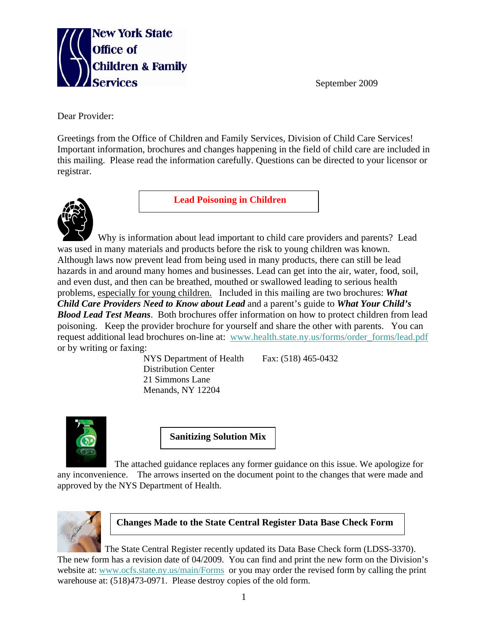

September 2009

Dear Provider:

Greetings from the Office of Children and Family Services, Division of Child Care Services! Important information, brochures and changes happening in the field of child care are included in this mailing. Please read the information carefully. Questions can be directed to your licensor or registrar.



**Lead Poisoning in Children** 

 Why is information about lead important to child care providers and parents? Lead was used in many materials and products before the risk to young children was known. Although laws now prevent lead from being used in many products, there can still be lead hazards in and around many homes and businesses. Lead can get into the air, water, food, soil, and even dust, and then can be breathed, mouthed or swallowed leading to serious health problems, especially for young children. Included in this mailing are two brochures: *What Child Care Providers Need to Know about Lead* and a parent's guide to *What Your Child's Blood Lead Test Means*. Both brochures offer information on how to protect children from lead poisoning. Keep the provider brochure for yourself and share the other with parents. You can request additional lead brochures on-line at: www.health.state.ny.us/forms/order\_forms/lead.pdf or by writing or faxing:

NYS Department of Health Fax: (518) 465-0432 Distribution Center 21 Simmons Lane Menands, NY 12204



**Sanitizing Solution Mix** 

The attached guidance replaces any former guidance on this issue. We apologize for any inconvenience. The arrows inserted on the document point to the changes that were made and approved by the NYS Department of Health.



## **Changes Made to the State Central Register Data Base Check Form**

 The State Central Register recently updated its Data Base Check form (LDSS-3370). The new form has a revision date of 04/2009. You can find and print the new form on the Division's website at: www.ocfs.state.ny.us/main/Forms or you may order the revised form by calling the print warehouse at: (518)473-0971. Please destroy copies of the old form.